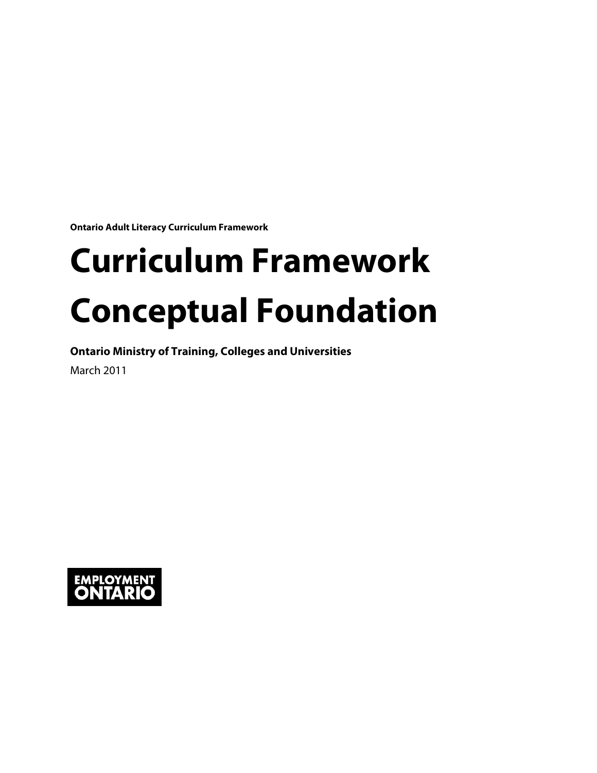**Ontario Adult Literacy Curriculum Framework**

# **Curriculum Framework** Conceptual Foundation<br> **Ontario Ministry of Training, Colleges and Universities**

March 2011

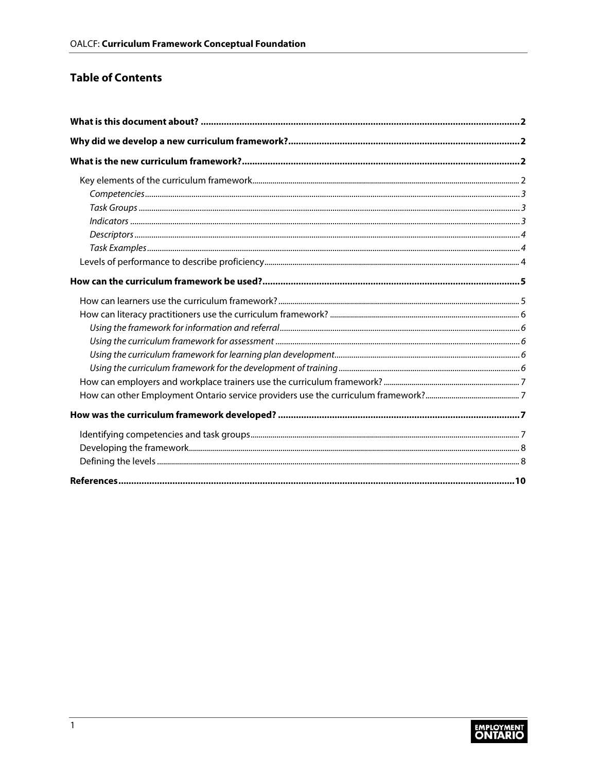## **Table of Contents**

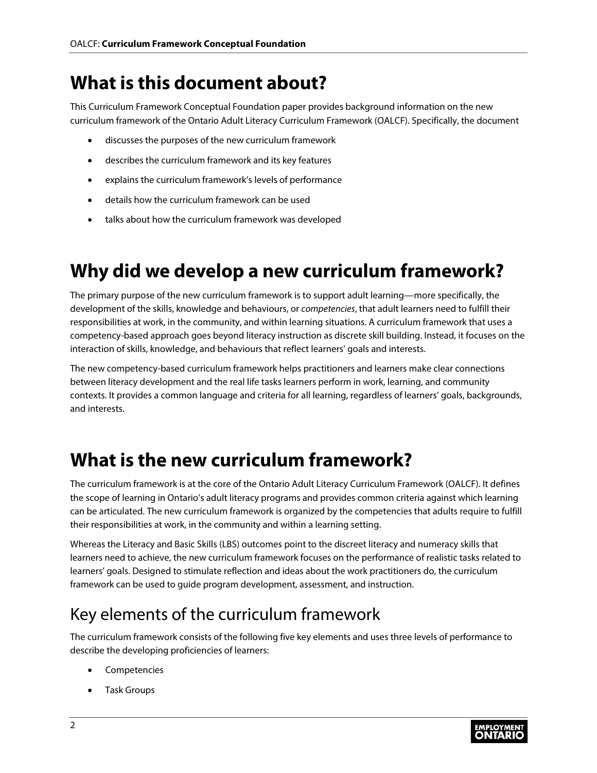# <span id="page-2-0"></span>**What is this document about?**

 This Curriculum Framework Conceptual Foundation paper provides background information on the new curriculum framework of the Ontario Adult Literacy Curriculum Framework (OALCF). Specifically, the document

- discusses the purposes of the new curriculum framework
- describes the curriculum framework and its key features
- explains the curriculum framework's levels of performance
- details how the curriculum framework can be used
- talks about how the curriculum framework was developed

# <span id="page-2-1"></span>**Why did we develop a new curriculum framework?**

 responsibilities at work, in the community, and within learning situations. A curriculum framework that uses a The primary purpose of the new curriculum framework is to support adult learning—more specifically, the development of the skills, knowledge and behaviours, or *competencies*, that adult learners need to fulfill their competency-based approach goes beyond literacy instruction as discrete skill building. Instead, it focuses on the interaction of skills, knowledge, and behaviours that reflect learners' goals and interests.

The new competency-based curriculum framework helps practitioners and learners make clear connections between literacy development and the real life tasks learners perform in work, learning, and community contexts. It provides a common language and criteria for all learning, regardless of learners' goals, backgrounds, and interests.

# <span id="page-2-2"></span>**What is the new curriculum framework?**

The curriculum framework is at the core of the Ontario Adult Literacy Curriculum Framework (OALCF). It defines the scope of learning in Ontario's adult literacy programs and provides common criteria against which learning can be articulated. The new curriculum framework is organized by the competencies that adults require to fulfill their responsibilities at work, in the community and within a learning setting.

Whereas the Literacy and Basic Skills (LBS) outcomes point to the discreet literacy and numeracy skills that learners need to achieve, the new curriculum framework focuses on the performance of realistic tasks related to learners' goals. Designed to stimulate reflection and ideas about the work practitioners do, the curriculum framework can be used to guide program development, assessment, and instruction.

# <span id="page-2-3"></span>Key elements of the curriculum framework

The curriculum framework consists of the following five key elements and uses three levels of performance to describe the developing proficiencies of learners:

- Competencies
- Task Groups

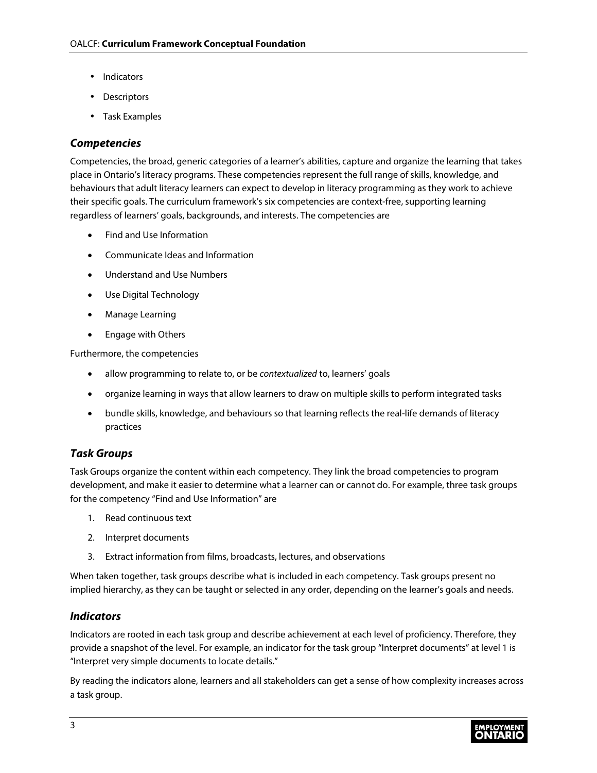- Indicators
- Descriptors
- Task Examples

## <span id="page-3-0"></span>*Competencies*

 Competencies, the broad, generic categories of a learner's abilities, capture and organize the learning that takes place in Ontario's literacy programs. These competencies represent the full range of skills, knowledge, and behaviours that adult literacy learners can expect to develop in literacy programming as they work to achieve their specific goals. The curriculum framework's six competencies are context-free, supporting learning regardless of learners' goals, backgrounds, and interests. The competencies are

- Find and Use Information
- Communicate Ideas and Information
- Understand and Use Numbers
- Use Digital Technology
- Manage Learning
- Engage with Others

Furthermore, the competencies

- allow programming to relate to, or be *contextualized* to, learners' goals
- organize learning in ways that allow learners to draw on multiple skills to perform integrated tasks
- • bundle skills, knowledge, and behaviours so that learning reflects the real-life demands of literacy practices

## <span id="page-3-1"></span>*Task Groups*

Task Groups organize the content within each competency. They link the broad competencies to program development, and make it easier to determine what a learner can or cannot do. For example, three task groups for the competency "Find and Use Information" are

- 1. Read continuous text
- 2. Interpret documents
- 3. Extract information from films, broadcasts, lectures, and observations

When taken together, task groups describe what is included in each competency. Task groups present no implied hierarchy, as they can be taught or selected in any order, depending on the learner's goals and needs.

## <span id="page-3-2"></span>*Indicators*

Indicators are rooted in each task group and describe achievement at each level of proficiency. Therefore, they provide a snapshot of the level. For example, an indicator for the task group "Interpret documents" at level 1 is "Interpret very simple documents to locate details."

By reading the indicators alone, learners and all stakeholders can get a sense of how complexity increases across a task group.

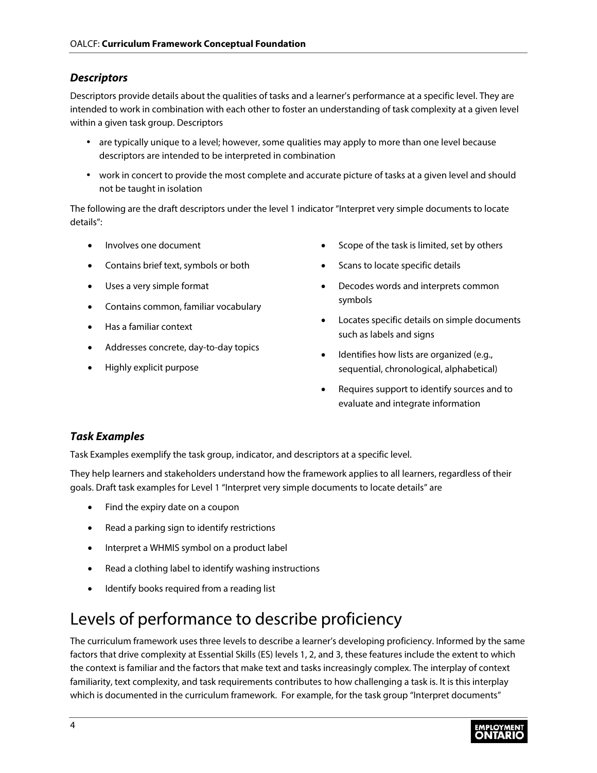## <span id="page-4-0"></span>*Descriptors*

Descriptors provide details about the qualities of tasks and a learner's performance at a specific level. They are intended to work in combination with each other to foster an understanding of task complexity at a given level within a given task group. Descriptors

- are typically unique to a level; however, some qualities may apply to more than one level because descriptors are intended to be interpreted in combination
- work in concert to provide the most complete and accurate picture of tasks at a given level and should not be taught in isolation

 details": The following are the draft descriptors under the level 1 indicator "Interpret very simple documents to locate

- Involves one document
- Contains brief text, symbols or both
- Uses a very simple format
- Contains common, familiar vocabulary
- Has a familiar context
- Addresses concrete, day-to-day topics
- Highly explicit purpose
- Scope of the task is limited, set by others
- Scans to locate specific details
- Decodes words and interprets common symbols
- Locates specific details on simple documents such as labels and signs
- Identifies how lists are organized (e.g., sequential, chronological, alphabetical)
- Requires support to identify sources and to evaluate and integrate information

## <span id="page-4-1"></span>*Task Examples*

Task Examples exemplify the task group, indicator, and descriptors at a specific level.

They help learners and stakeholders understand how the framework applies to all learners, regardless of their goals. Draft task examples for Level 1 "Interpret very simple documents to locate details" are

- Find the expiry date on a coupon
- Read a parking sign to identify restrictions
- Interpret a WHMIS symbol on a product label
- Read a clothing label to identify washing instructions
- Identify books required from a reading list

## <span id="page-4-2"></span>Levels of performance to describe proficiency

The curriculum framework uses three levels to describe a learner's developing proficiency. Informed by the same factors that drive complexity at Essential Skills (ES) levels 1, 2, and 3, these features include the extent to which the context is familiar and the factors that make text and tasks increasingly complex. The interplay of context familiarity, text complexity, and task requirements contributes to how challenging a task is. It is this interplay which is documented in the curriculum framework. For example, for the task group "Interpret documents"

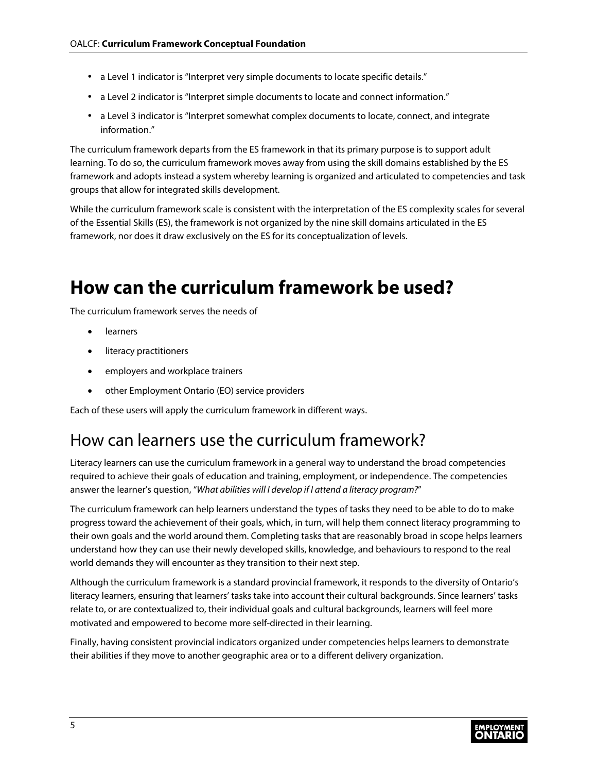- a Level 1 indicator is "Interpret very simple documents to locate specific details."
- a Level 2 indicator is "Interpret simple documents to locate and connect information."
- a Level 3 indicator is "Interpret somewhat complex documents to locate, connect, and integrate information."

 learning. To do so, the curriculum framework moves away from using the skill domains established by the ES The curriculum framework departs from the ES framework in that its primary purpose is to support adult framework and adopts instead a system whereby learning is organized and articulated to competencies and task groups that allow for integrated skills development.

 framework, nor does it draw exclusively on the ES for its conceptualization of levels. While the curriculum framework scale is consistent with the interpretation of the ES complexity scales for several of the Essential Skills (ES), the framework is not organized by the nine skill domains articulated in the ES

# <span id="page-5-0"></span>**How can the curriculum framework be used?**

The curriculum framework serves the needs of

- learners
- literacy practitioners
- employers and workplace trainers
- other Employment Ontario (EO) service providers

Each of these users will apply the curriculum framework in different ways.

## <span id="page-5-1"></span>How can learners use the curriculum framework?

Literacy learners can use the curriculum framework in a general way to understand the broad competencies required to achieve their goals of education and training, employment, or independence. The competencies answer the learner's question, "*What abilities will I develop if I attend a literacy program?*"

The curriculum framework can help learners understand the types of tasks they need to be able to do to make progress toward the achievement of their goals, which, in turn, will help them connect literacy programming to their own goals and the world around them. Completing tasks that are reasonably broad in scope helps learners understand how they can use their newly developed skills, knowledge, and behaviours to respond to the real world demands they will encounter as they transition to their next step.

Although the curriculum framework is a standard provincial framework, it responds to the diversity of Ontario's literacy learners, ensuring that learners' tasks take into account their cultural backgrounds. Since learners' tasks relate to, or are contextualized to, their individual goals and cultural backgrounds, learners will feel more motivated and empowered to become more self-directed in their learning.

 their abilities if they move to another geographic area or to a different delivery organization.Finally, having consistent provincial indicators organized under competencies helps learners to demonstrate

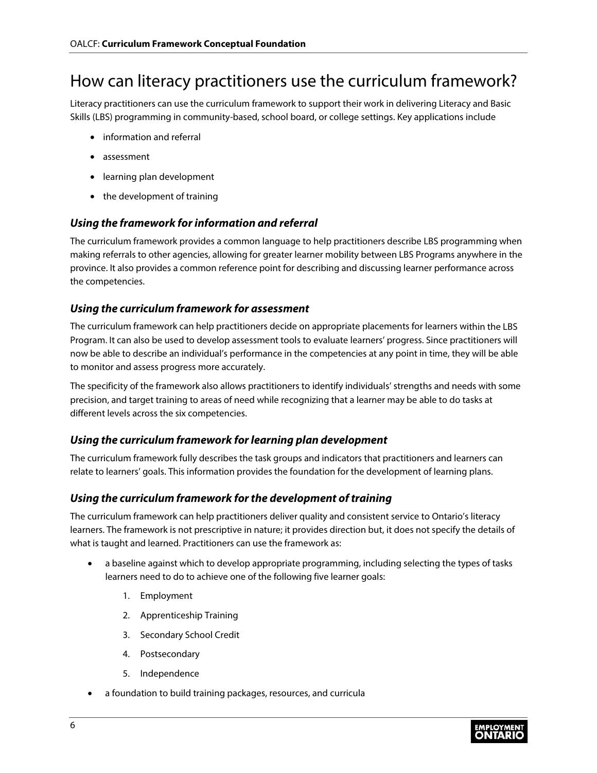## <span id="page-6-0"></span>How can literacy practitioners use the curriculum framework?

Literacy practitioners can use the curriculum framework to support their work in delivering Literacy and Basic Skills (LBS) programming in community-based, school board, or college settings. Key applications include

- information and referral
- assessment
- learning plan development
- the development of training

#### <span id="page-6-1"></span>*Using the framework for information and referral*

The curriculum framework provides a common language to help practitioners describe LBS programming when making referrals to other agencies, allowing for greater learner mobility between LBS Programs anywhere in the province. It also provides a common reference point for describing and discussing learner performance across the competencies.

#### <span id="page-6-2"></span>*Using the curriculum framework for assessment*

 to monitor and assess progress more accurately. The curriculum framework can help practitioners decide on appropriate placements for learners within the LBS Program. It can also be used to develop assessment tools to evaluate learners' progress. Since practitioners will now be able to describe an individual's performance in the competencies at any point in time, they will be able

The specificity of the framework also allows practitioners to identify individuals' strengths and needs with some precision, and target training to areas of need while recognizing that a learner may be able to do tasks at different levels across the six competencies.

## <span id="page-6-3"></span>*Using the curriculum framework for learning plan development*

The curriculum framework fully describes the task groups and indicators that practitioners and learners can relate to learners' goals. This information provides the foundation for the development of learning plans.

#### <span id="page-6-4"></span>*Using the curriculum framework for the development of training*

 what is taught and learned. Practitioners can use the framework as: The curriculum framework can help practitioners deliver quality and consistent service to Ontario's literacy learners. The framework is not prescriptive in nature; it provides direction but, it does not specify the details of

- a baseline against which to develop appropriate programming, including selecting the types of tasks learners need to do to achieve one of the following five learner goals:
	- 1. Employment
	- 2. Apprenticeship Training
	- 3. Secondary School Credit
	- 4. Postsecondary
	- 5. Independence
- a foundation to build training packages, resources, and curricula

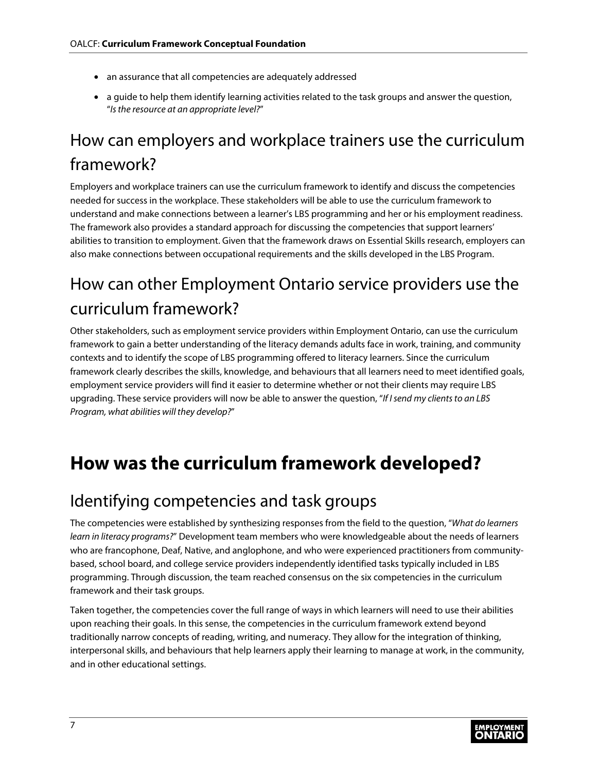- an assurance that all competencies are adequately addressed
- a guide to help them identify learning activities related to the task groups and answer the question, "*Isthe resource at an appropriate level?*"

# <span id="page-7-0"></span>How can employers and workplace trainers use the curriculum framework?

Employers and workplace trainers can use the curriculum framework to identify and discuss the competencies needed for success in the workplace. These stakeholders will be able to use the curriculum framework to understand and make connections between a learner's LBS programming and her or his employment readiness. The framework also provides a standard approach for discussing the competencies that support learners' abilities to transition to employment. Given that the framework draws on Essential Skills research, employers can also make connections between occupational requirements and the skills developed in the LBS Program.

# <span id="page-7-1"></span>How can other Employment Ontario service providers use the curriculum framework?

 Other stakeholders, such as employment service providers within Employment Ontario, can use the curriculum framework to gain a better understanding of the literacy demands adults face in work, training, and community contexts and to identify the scope of LBS programming offered to literacy learners. Since the curriculum framework clearly describes the skills, knowledge, and behaviours that all learners need to meet identified goals, employment service providers will find it easier to determine whether or not their clients may require LBS upgrading. These service providers will now be able to answer the question, "*If I send my clients to an LBS Program, what abilities will they develop?*"

# <span id="page-7-2"></span>**How was the curriculum framework developed?**

## <span id="page-7-3"></span>Identifying competencies and task groups

The competencies were established by synthesizing responses from the field to the question, "*What do learners learn in literacy programs?*" Development team members who were knowledgeable about the needs of learners who are francophone, Deaf, Native, and anglophone, and who were experienced practitioners from communitybased, school board, and college service providers independently identified tasks typically included in LBS programming. Through discussion, the team reached consensus on the six competencies in the curriculum framework and their task groups.

Taken together, the competencies cover the full range of ways in which learners will need to use their abilities upon reaching their goals. In this sense, the competencies in the curriculum framework extend beyond traditionally narrow concepts of reading, writing, and numeracy. They allow for the integration of thinking, interpersonal skills, and behaviours that help learners apply their learning to manage at work, in the community, and in other educational settings.

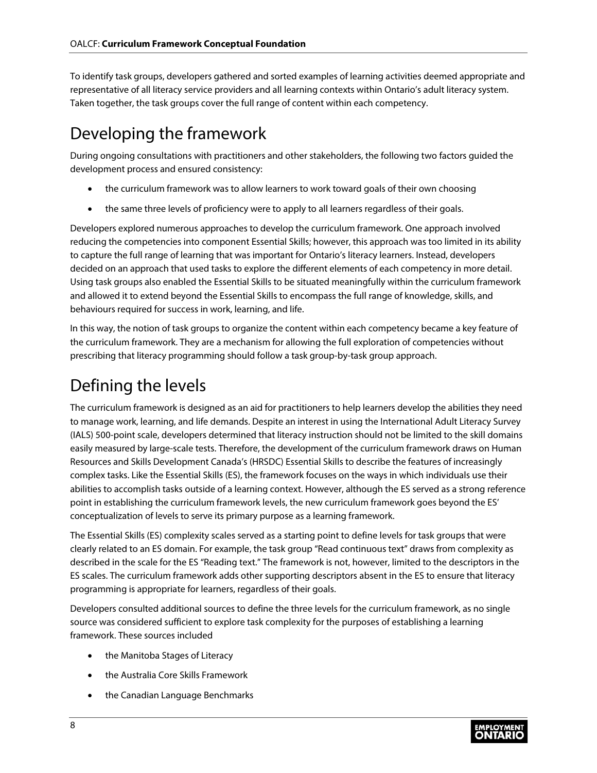representative of all literacy service providers and all learning contexts within Ontario's adult literacy system. To identify task groups, developers gathered and sorted examples of learning activities deemed appropriate and Taken together, the task groups cover the full range of content within each competency.

# <span id="page-8-0"></span>Developing the framework

During ongoing consultations with practitioners and other stakeholders, the following two factors guided the development process and ensured consistency:

- the curriculum framework was to allow learners to work toward goals of their own choosing
- the same three levels of proficiency were to apply to all learners regardless of their goals.

 reducing the competencies into component Essential Skills; however, this approach was too limited in its ability decided on an approach that used tasks to explore the different elements of each competency in more detail. Developers explored numerous approaches to develop the curriculum framework. One approach involved to capture the full range of learning that was important for Ontario's literacy learners. Instead, developers Using task groups also enabled the Essential Skills to be situated meaningfully within the curriculum framework and allowed it to extend beyond the Essential Skills to encompass the full range of knowledge, skills, and behaviours required for success in work, learning, and life.

In this way, the notion of task groups to organize the content within each competency became a key feature of the curriculum framework. They are a mechanism for allowing the full exploration of competencies without prescribing that literacy programming should follow a task group-by-task group approach.

# <span id="page-8-1"></span>Defining the levels

The curriculum framework is designed as an aid for practitioners to help learners develop the abilities they need to manage work, learning, and life demands. Despite an interest in using the International Adult Literacy Survey (IALS) 500-point scale, developers determined that literacy instruction should not be limited to the skill domains easily measured by large-scale tests. Therefore, the development of the curriculum framework draws on Human Resources and Skills Development Canada's (HRSDC) Essential Skills to describe the features of increasingly complex tasks. Like the Essential Skills (ES), the framework focuses on the ways in which individuals use their abilities to accomplish tasks outside of a learning context. However, although the ES served as a strong reference point in establishing the curriculum framework levels, the new curriculum framework goes beyond the ES' conceptualization of levels to serve its primary purpose as a learning framework.

The Essential Skills (ES) complexity scales served as a starting point to define levels for task groups that were clearly related to an ES domain. For example, the task group "Read continuous text" draws from complexity as described in the scale for the ES "Reading text." The framework is not, however, limited to the descriptors in the ES scales. The curriculum framework adds other supporting descriptors absent in the ES to ensure that literacy programming is appropriate for learners, regardless of their goals.

Developers consulted additional sources to define the three levels for the curriculum framework, as no single source was considered sufficient to explore task complexity for the purposes of establishing a learning framework. These sources included

- the Manitoba Stages of Literacy
- the Australia Core Skills Framework
- the Canadian Language Benchmarks

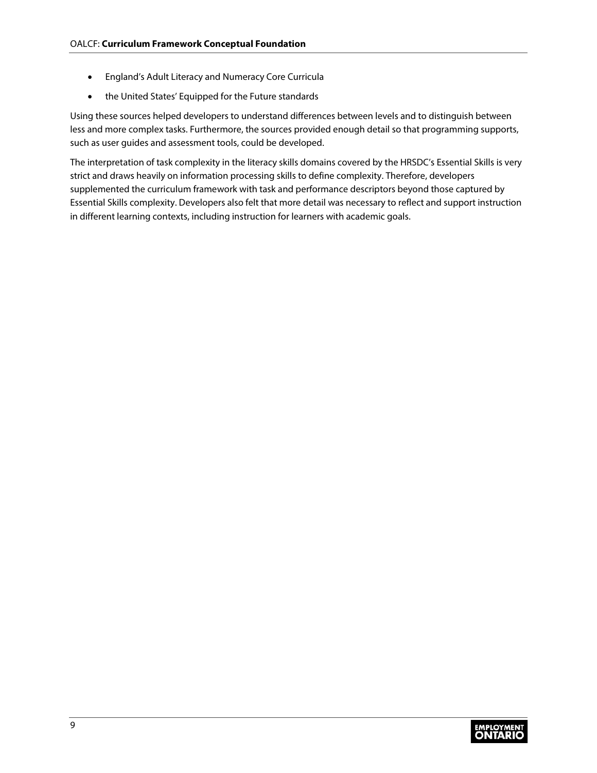- England's Adult Literacy and Numeracy Core Curricula
- the United States' Equipped for the Future standards

Using these sources helped developers to understand differences between levels and to distinguish between less and more complex tasks. Furthermore, the sources provided enough detail so that programming supports, such as user guides and assessment tools, could be developed.

The interpretation of task complexity in the literacy skills domains covered by the HRSDC's Essential Skills is very strict and draws heavily on information processing skills to define complexity. Therefore, developers supplemented the curriculum framework with task and performance descriptors beyond those captured by Essential Skills complexity. Developers also felt that more detail was necessary to reflect and support instruction in different learning contexts, including instruction for learners with academic goals.